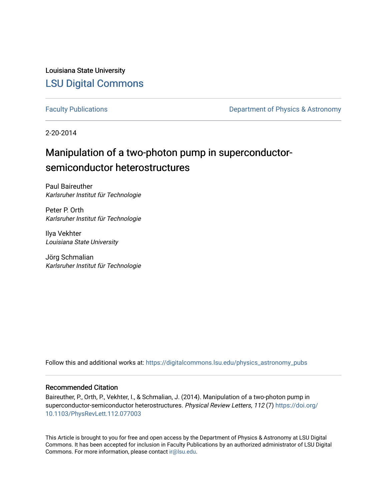Louisiana State University [LSU Digital Commons](https://digitalcommons.lsu.edu/)

[Faculty Publications](https://digitalcommons.lsu.edu/physics_astronomy_pubs) **Exercise 2 and Table 2 and Table 2 and Table 2 and Table 2 and Table 2 and Table 2 and Table 2 and Table 2 and Table 2 and Table 2 and Table 2 and Table 2 and Table 2 and Table 2 and Table 2 and Table** 

2-20-2014

## Manipulation of a two-photon pump in superconductorsemiconductor heterostructures

Paul Baireuther Karlsruher Institut für Technologie

Peter P. Orth Karlsruher Institut für Technologie

Ilya Vekhter Louisiana State University

Jörg Schmalian Karlsruher Institut für Technologie

Follow this and additional works at: [https://digitalcommons.lsu.edu/physics\\_astronomy\\_pubs](https://digitalcommons.lsu.edu/physics_astronomy_pubs?utm_source=digitalcommons.lsu.edu%2Fphysics_astronomy_pubs%2F5418&utm_medium=PDF&utm_campaign=PDFCoverPages) 

## Recommended Citation

Baireuther, P., Orth, P., Vekhter, I., & Schmalian, J. (2014). Manipulation of a two-photon pump in superconductor-semiconductor heterostructures. Physical Review Letters, 112 (7) [https://doi.org/](https://doi.org/10.1103/PhysRevLett.112.077003) [10.1103/PhysRevLett.112.077003](https://doi.org/10.1103/PhysRevLett.112.077003)

This Article is brought to you for free and open access by the Department of Physics & Astronomy at LSU Digital Commons. It has been accepted for inclusion in Faculty Publications by an authorized administrator of LSU Digital Commons. For more information, please contact [ir@lsu.edu](mailto:ir@lsu.edu).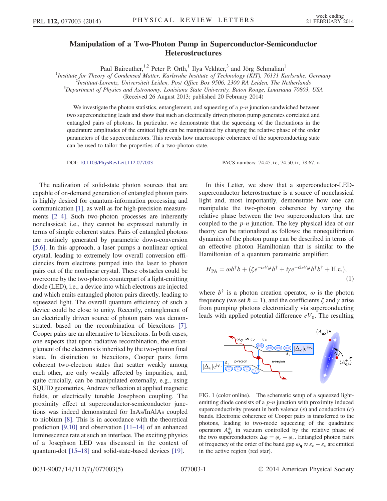## Manipulation of a Two-Photon Pump in Superconductor-Semiconductor **Heterostructures**

Paul Baireuther,<sup>1,2</sup> Peter P. Orth,<sup>1</sup> Ilya Vekhter,<sup>3</sup> and Jörg Schmalian<sup>1</sup>

<sup>1</sup>Institute for Theory of Condensed Matter, Karlsruhe Institute of Technology (KIT), 76131 Karlsruhe, Germany<br><sup>2</sup>Instituut Lorentz, Universiteit Leiden, Bost Office Box 0506, 2300 BA Leiden, The Netherlands

<sup>2</sup>Instituut-Lorentz, Universiteit Leiden, Post Office Box 9506, 2300 RA Leiden, The Netherlands

 $3$ Department of Physics and Astronomy, Louisiana State University, Baton Rouge, Louisiana 70803, USA

(Received 26 August 2013; published 20 February 2014)

We investigate the photon statistics, entanglement, and squeezing of a  $p$ -n junction sandwiched between two superconducting leads and show that such an electrically driven photon pump generates correlated and entangled pairs of photons. In particular, we demonstrate that the squeezing of the fluctuations in the quadrature amplitudes of the emitted light can be manipulated by changing the relative phase of the order parameters of the superconductors. This reveals how macroscopic coherence of the superconducting state can be used to tailor the properties of a two-photon state.

The realization of solid-state photon sources that are capable of on-demand generation of entangled photon pairs is highly desired for quantum-information processing and communication [\[1\],](#page-5-0) as well as for high-precision measurements [2–[4\].](#page-5-1) Such two-photon processes are inherently nonclassical; i.e., they cannot be expressed naturally in terms of simple coherent states. Pairs of entangled photons are routinely generated by parametric down-conversion [\[5,6\].](#page-5-2) In this approach, a laser pumps a nonlinear optical crystal, leading to extremely low overall conversion efficiencies from electrons pumped into the laser to photon pairs out of the nonlinear crystal. These obstacles could be overcome by the two-photon counterpart of a light-emitting diode (LED), i.e., a device into which electrons are injected and which emits entangled photon pairs directly, leading to squeezed light. The overall quantum efficiency of such a device could be close to unity. Recently, entanglement of an electrically driven source of photon pairs was demonstrated, based on the recombination of biexcitons [\[7\]](#page-5-3). Cooper pairs are an alternative to biexcitons. In both cases, one expects that upon radiative recombination, the entanglement of the electrons is inherited by the two-photon final state. In distinction to biexcitons, Cooper pairs form coherent two-electron states that scatter weakly among each other, are only weakly affected by impurities, and, quite crucially, can be manipulated externally, e.g., using SQUID geometries, Andreev reflection at applied magnetic fields, or electrically tunable Josephson coupling. The proximity effect at superconductor-semiconductor junctions was indeed demonstrated for InAs/InAlAs coupled to niobium [\[8\]](#page-5-4). This is in accordance with the theoretical prediction  $[9,10]$  and observation  $[11–14]$  $[11–14]$  of an enhanced luminescence rate at such an interface. The exciting physics of a Josephson LED was discussed in the context of quantum-dot [15–[18\]](#page-5-7) and solid-state-based devices [\[19\]](#page-5-8).

DOI: [10.1103/PhysRevLett.112.077003](http://dx.doi.org/10.1103/PhysRevLett.112.077003) PACS numbers: 74.45.+c, 74.50.+r, 78.67.-n

In this Letter, we show that a superconductor-LEDsuperconductor heterostructure is a source of nonclassical light and, most importantly, demonstrate how one can manipulate the two-photon coherence by varying the relative phase between the two superconductors that are coupled to the p-n junction. The key physical idea of our theory can be rationalized as follows: the nonequilibrium dynamics of the photon pump can be described in terms of an effective photon Hamiltonian that is similar to the Hamiltonian of a quantum parametric amplifier:

<span id="page-1-1"></span>
$$
H_{\text{PA}} = \omega b^{\dagger} b + (\zeta e^{-ieV_0 t} b^{\dagger} + i\gamma e^{-i2eV_0 t} b^{\dagger} b^{\dagger} + \text{H.c.}),\tag{1}
$$

where  $b^{\dagger}$  is a photon creation operator,  $\omega$  is the photon frequency (we set  $\hbar = 1$ ), and the coefficients  $\zeta$  and  $\gamma$  arise from pumping photons electronically via superconducting leads with applied potential difference  $eV_0$ . The resulting

<span id="page-1-0"></span>

FIG. 1 (color online). The schematic setup of a squeezed lightemitting diode consists of a  $p-n$  junction with proximity induced superconductivity present in both valence  $(v)$  and conduction  $(c)$ bands. Electronic coherence of Cooper pairs is transferred to the photons, leading to two-mode squeezing of the quadrature operators  $A_{q\lambda}^{\pm}$  in vacuum controlled by the relative phase of the two superconductors  $\Delta \varphi = \varphi_c - \varphi_v$ . Entangled photon pairs of frequency of the order of the band gap  $\omega_{q} \approx \varepsilon_{c} - \varepsilon_{v}$  are emitted in the active region (red star).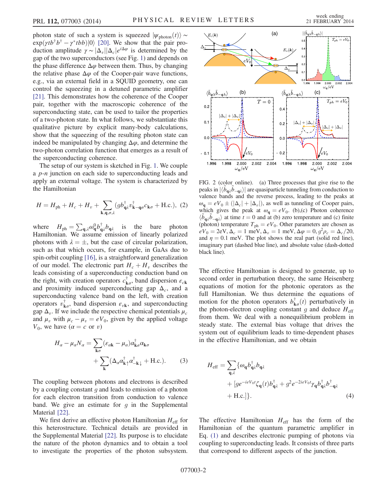photon state of such a system is squeezed  $|\psi_{\text{photon}}(t)\rangle \sim$  $\exp(\gamma t b^{\dagger} b^{\dagger} - \gamma^* t b b)|0\rangle$  [\[20\]](#page-5-9). We show that the pair pro-<br>duction applitude  $\gamma \sim |\Lambda| |\Lambda| e^{i\Delta \varphi}$  is determined by the duction amplitude  $\gamma \sim |\Delta_v||\Delta_c|e^{i\Delta\varphi}$  is determined by the gap of the two superconductors (see Fig. [1\)](#page-1-0) and depends on the phase difference  $\Delta\varphi$  between them. Thus, by changing the relative phase  $\Delta \varphi$  of the Cooper-pair wave functions, e.g., via an external field in a SQUID geometry, one can control the squeezing in a detuned parametric amplifier [\[21\]](#page-5-10). This demonstrates how the coherence of the Cooper pair, together with the macroscopic coherence of the superconducting state, can be used to tailor the properties of a two-photon state. In what follows, we substantiate this qualitative picture by explicit many-body calculations, show that the squeezing of the resulting photon state can indeed be manipulated by changing  $\Delta \varphi$ , and determine the two-photon correlation function that emerges as a result of the superconducting coherence.

<span id="page-2-2"></span>The setup of our system is sketched in Fig. [1.](#page-1-0) We couple a *p*-*n* junction on each side to superconducting leads and apply an external voltage. The system is characterized by the Hamiltonian

$$
H = H_{\text{ph}} + H_c + H_v + \sum_{\mathbf{k}, \mathbf{q}, \sigma, \lambda} (gb_{\mathbf{q},l}^{\dagger} v_{\mathbf{k} - \mathbf{q}\sigma}^{\dagger} c_{\mathbf{k}\sigma} + \text{H.c.}), (2)
$$

where  $H_{ph} = \sum_{\mathbf{q},\lambda} \omega_{\mathbf{q}}^0 b_{\mathbf{q}}^{\dagger}$ <br>Hamiltonian We assume is the bare photon Hamiltonian. We assume emission of linearly polarized photons with  $\lambda = \pm$ , but the case of circular polarization, such as that which occurs, for example, in GaAs due to spin-orbit coupling [\[16\],](#page-5-11) is a straightforward generalization of our model. The electronic part  $H_c + H_v$  describes the leads consisting of a superconducting conduction band on the right, with creation operators  $c^{\dagger}_{\mathbf{k}\sigma}$ , band dispersion  $\varepsilon_{c\mathbf{k}}$ and proximity induced superconducting gap  $\Delta_c$ , and a superconducting valence band on the left, with creation operators  $v^{\dagger}_{\mathbf{k}\sigma}$ , band dispersion  $\varepsilon_{v\mathbf{k}}$ , and superconducting gap  $\Delta_v$ . If we include the respective chemical potentials  $\mu_c$ and  $\mu_v$  with  $\mu_c - \mu_v = eV_0$ , given by the applied voltage  $V_0$ , we have  $(\alpha = c \text{ or } v)$ 

$$
H_{\alpha} - \mu_{\alpha} N_{\alpha} = \sum_{\mathbf{k}\sigma} (\varepsilon_{\alpha\mathbf{k}} - \mu_{\alpha}) \alpha_{\mathbf{k}\sigma}^{\dagger} \alpha_{\mathbf{k}\sigma} + \sum_{\mathbf{k}} (\Delta_{\alpha} \alpha_{\mathbf{k}\uparrow}^{\dagger} \alpha_{-\mathbf{k}\downarrow}^{\dagger} + \text{H.c.}).
$$
 (3)

The coupling between photons and electrons is described by a coupling constant  $q$  and leads to emission of a photon for each electron transition from conduction to valence band. We give an estimate for  $g$  in the Supplemental Material [\[22\].](#page-5-12)

We first derive an effective photon Hamiltonian  $H_{\text{eff}}$  for this heterostructure. Technical details are provided in the Supplemental Material [\[22\]](#page-5-12). Its purpose is to elucidate the nature of the photon dynamics and to obtain a tool to investigate the properties of the photon subsystem.

<span id="page-2-0"></span>

FIG. 2 (color online). (a) Three processes that give rise to the peaks in  $|\langle \tilde{b}_{q\lambda} \tilde{b}_{-q\lambda} \rangle|$  are quasiparticle tunneling from conduction to valence bands and the reverse process leading to the peaks at valence bands and the reverse process, leading to the peaks at  $\omega_{\mathbf{q}} = eV_0 \pm (|\Delta_c| + |\Delta_v|)$ , as well as tunneling of Cooper pairs, which gives the peak at  $\omega_q = eV_0$ . (b),(c) Photon coherence  $\langle \tilde{b}_{\mathbf{q}\lambda} \tilde{b}_{-\mathbf{q}\lambda} \rangle$  at time  $t = 0$  and at (b) zero temperature and (c) finite<br>(photon) temperature  $T_{\lambda} = eV_{\lambda}$ . Other parameters are chosen as (photon) temperature  $T_{ph} = eV_0$ . Other parameters are chosen as  $eV_0 = 2eV, \Delta_c = 1$  meV,  $\Delta_v = 1$  meV,  $\Delta \varphi = 0, g^2 \rho_c = \Delta_c/20$ , and  $\eta = 0.1$  meV. The plot shows the real part (solid red line), imaginary part (dashed blue line), and absolute value (dash-dotted black line).

The effective Hamiltonian is designed to generate, up to second order in perturbation theory, the same Heisenberg equations of motion for the photonic operators as the full Hamiltonian. We thus determine the equations of motion for the photon operators  $b^{\dagger}_{\mathbf{k}\sigma}(t)$  perturbatively in<br>the photon-electron coupling constant *a* and deduce *H*  $_{\infty}$ the photon-electron coupling constant g and deduce  $H_{\text{eff}}$ from them. We deal with a nonequilibrium problem in steady state. The external bias voltage that drives the system out of equilibrium leads to time-dependent phases in the effective Hamiltonian, and we obtain

<span id="page-2-1"></span>
$$
H_{\text{eff}} = \sum_{\mathbf{q},\lambda} \{ \omega_{\mathbf{q}} b_{\mathbf{q}\lambda}^{\dagger} b_{\mathbf{q}\lambda} + [ge^{-ieV_0t} \zeta_{\mathbf{q}}(t) b_{\mathbf{q}\lambda}^{\dagger} + g^2 e^{-2ieV_0t} \gamma_{\mathbf{q}} b_{\mathbf{q}\lambda}^{\dagger} b_{-\mathbf{q}\lambda}^{\dagger} + \text{H.c.} \}.
$$
\n(4)

The effective Hamiltonian  $H_{\text{eff}}$  has the form of the Hamiltonian of the quantum parametric amplifier in Eq. [\(1\)](#page-1-1) and describes electronic pumping of photons via coupling to superconducting leads. It consists of three parts that correspond to different aspects of the junction.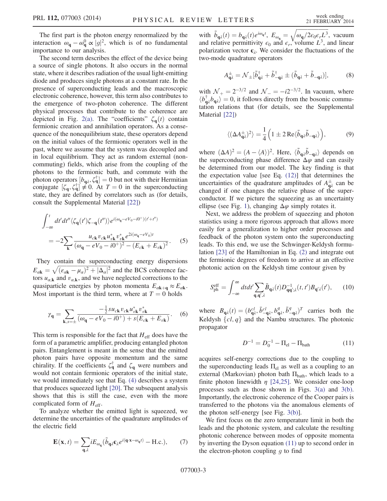The first part is the photon energy renormalized by the interaction  $\omega_{\mathbf{q}} - \omega_{\mathbf{q}}^0 \propto |g|^2$ , which is of no fundamental<br>importance to our analysis importance to our analysis.

The second term describes the effect of the device being a source of single photons. It also occurs in the normal state, where it describes radiation of the usual light-emitting diode and produces single photons at a constant rate. In the presence of superconducting leads and the macroscopic electronic coherence, however, this term also contributes to the emergence of two-photon coherence. The different physical processes that contribute to the coherence are depicted in Fig. [2\(a\).](#page-2-0) The "coefficients"  $\zeta_{q}(t)$  contain fermionic creation and annihilation operators. As a consequence of the nonequilibrium state, these operators depend on the initial values of the fermionic operators well in the past, where we assume that the system was decoupled and in local equilibrium. They act as random external (noncommuting) fields, which arise from the coupling of the photons to the fermionic bath, and commute with the photon operators  $[b_{\mathbf{q}\lambda}, \zeta_{\mathbf{q}}^{\dagger}] = 0$  but not with their Hermitian conjugate  $[\zeta \zeta_{\mathbf{q}}^{\dagger}] \neq 0$ . At  $T = 0$  in the superconducting conjugate  $[\zeta_q, \zeta_q^{\dagger}] \neq 0$ . At  $T = 0$  in the superconducting<br>state they are defined by correlators such as (for details state, they are defined by correlators such as (for details, consult the Supplemental Material [\[22\]\)](#page-5-12)

$$
\int_{-\infty}^{t} dt' dt'' \langle \zeta_{\mathbf{q}}(t') \zeta_{-\mathbf{q}}(t'') \rangle e^{i(\omega_{\mathbf{q}} - eV_{0} - i0^{+})(t' + t'')} \n= -2 \sum_{\mathbf{k}} \frac{u_{c\mathbf{k}} v_{c\mathbf{k}} u_{v\mathbf{k}}^{*} v_{v\mathbf{k}}^{*} e^{2i(\omega_{\mathbf{q}} - eV_{0})t}}{(\omega_{\mathbf{q}} - eV_{0} - i0^{+})^{2} - (E_{c\mathbf{k}} + E_{v\mathbf{k}})^{2}}.
$$
\n(5)

They contain the superconducting energy dispersions  $E_{\alpha k} = \sqrt{(\epsilon_{\alpha k} - \mu_{\alpha})^2 + |\Delta_{\alpha}|^2}$  and the BCS coherence fac-<br>tors  $\mu_{\alpha}$ , and  $\mu_{\alpha}$ , and we have neglected corrections to the tors  $u_{\alpha,k}$  and  $v_{\alpha,k}$ , and we have neglected corrections to the quasiparticle energies by photon momenta  $E_{\alpha k+\alpha} \approx E_{\alpha k}$ . Most important is the third term, where at  $T = 0$  holds

$$
\gamma_{\mathbf{q}} = \sum_{\mathbf{k}, s=\pm} \frac{-\frac{1}{2} s u_{c\mathbf{k}} v_{c\mathbf{k}} u_{v\mathbf{k}}^* v_{v\mathbf{k}}^*}{(\omega_{\mathbf{q}} - eV_0 - i0^+) + s(E_{c\mathbf{k}} + E_{v\mathbf{k}})}.
$$
 (6)

This term is responsible for the fact that  $H_{\text{eff}}$  does have the form of a parametric amplifier, producing entangled photon pairs. Entanglement is meant in the sense that the emitted photon pairs have opposite momentum and the same chirality. If the coefficients  $\zeta_{\mathbf{q}}^{\dagger}$  and  $\zeta_{\mathbf{q}}$  were numbers and would not contain fermionic operators of the initial state, we would immediately see that Eq. [\(4\)](#page-2-1) describes a system that produces squeezed light [\[20\]](#page-5-9). The subsequent analysis shows that this is still the case, even with the more complicated form of  $H_{\text{eff}}$ .

To analyze whether the emitted light is squeezed, we determine the uncertainties of the quadrature amplitudes of the electric field

$$
\mathbf{E}(\mathbf{x},t) = \sum_{\mathbf{q},\lambda} i E_{\omega_{\mathbf{q}}} (\tilde{b}_{\mathbf{q}\lambda} \mathbf{\varepsilon}_{\lambda} e^{i(\mathbf{q}\cdot\mathbf{x}-\omega_{\mathbf{q}}t)} - \text{H.c.}),\qquad(7)
$$

with  $\tilde{b}_{\mathbf{q}\lambda}(t) = b_{\mathbf{q}\lambda}(t)e^{i\omega_{\mathbf{q}}t}$ ,  $E_{\omega_{\mathbf{q}}} = \sqrt{\omega_{\mathbf{q}}/2\epsilon_0\epsilon_rL^3}$ , vacuum and relative permittivity  $\epsilon_0$  and  $\epsilon$  volume  $L^3$  and linear and relative permittivity  $\epsilon_0$  and  $\epsilon_r$ , volume  $L^3$ , and linear polarization vector  $\epsilon_{\lambda}$ . We consider the fluctuations of the two-mode quadrature operators

$$
A_{\mathbf{q}\lambda}^{\pm} = \mathcal{N}_{\pm} [\tilde{b}_{\mathbf{q}\lambda}^{\dagger} + \tilde{b}_{-\mathbf{q}\lambda}^{\dagger} \pm (\tilde{b}_{\mathbf{q}\lambda} + \tilde{b}_{-\mathbf{q}\lambda})],\tag{8}
$$

with  $\mathcal{N}_{+} = 2^{-3/2}$  and  $\mathcal{N}_{-} = -i2^{-3/2}$ . In vacuum, where  $\langle b_{q\lambda}^{\dagger} b_{q\lambda} \rangle = 0$ , it follows directly from the bosonic commu-<br>tation relations that (for details, see the Supplemental tation relations that (for details, see the Supplemental Material [\[22\]\)](#page-5-12)

$$
\langle (\Delta A_{\mathbf{q}\lambda}^{\pm})^2 \rangle = \frac{1}{4} \left( 1 \pm 2 \operatorname{Re} \langle \tilde{b}_{\mathbf{q}\lambda} \tilde{b}_{-\mathbf{q}\lambda} \rangle \right),\tag{9}
$$

where  $(\Delta A)^2 = (A - \langle A \rangle)^2$ . Here,  $\langle \tilde{b}_{q\lambda} \tilde{b}_{-q\lambda} \rangle$  depends on the superconducting phase difference  $\Delta \varphi$  and can easily the superconducting phase difference  $\Delta \varphi$  and can easily be determined from our model. The key finding is that the expectation value [see Eq. [\(12\)\]](#page-3-0) that determines the uncertainties of the quadrature amplitudes of  $A_{q\lambda}^{\pm}$  can be changed if one changes the relative phase of the superconductor. If we picture the squeezing as an uncertainty ellipse (see Fig. [1](#page-1-0)), changing  $\Delta \varphi$  simply rotates it.

Next, we address the problem of squeezing and photon statistics using a more rigorous approach that allows more easily for a generalization to higher order processes and feedback of the photon system onto the superconducting leads. To this end, we use the Schwinger-Keldysh formulation [\[23\]](#page-5-13) of the Hamiltonian in Eq. [\(2\)](#page-2-2) and integrate out the fermionic degrees of freedom to arrive at an effective photonic action on the Keldysh time contour given by

$$
S_{\text{ph}}^{\text{eff}} = \int_{-\infty}^{\infty} dt dt' \sum_{\mathbf{q}, \mathbf{q}', \lambda} \bar{B}_{\mathbf{q}\lambda}(t) D_{\mathbf{q}\mathbf{q}';\lambda}^{-1}(t, t') B_{\mathbf{q}'\lambda}(t'), \qquad (10)
$$

<span id="page-3-1"></span>where  $B_{\mathbf{q}\lambda}(t) = (b_{\mathbf{q}\lambda}^{cl}, \bar{b}_{-\mathbf{q}\lambda}^{cl}, b_{\mathbf{q}\lambda}^{q}, \bar{b}_{-\mathbf{q}\lambda}^{q})^{T}$  carries both the Kaldysh [al, a) and the Nambu structures. The photonic Keldysh  $\{cl, q\}$  and the Nambu structures. The photonic propagator

$$
D^{-1} = D_0^{-1} - \Pi_{\text{el}} - \Pi_{\text{bath}} \tag{11}
$$

acquires self-energy corrections due to the coupling to the superconducting leads  $\Pi_{el}$  as well as a coupling to an external (Markovian) photon bath  $\Pi_{\text{bath}}$ , which leads to a finite photon linewidth  $\eta$  [\[24,25\]](#page-5-14). We consider one-loop processes such as those shown in Figs. [3\(a\)](#page-4-0) and [3\(b\)](#page-4-0). Importantly, the electronic coherence of the Cooper pairs is transferred to the photons via the anomalous elements of the photon self-energy [see Fig. [3\(b\)\]](#page-4-0).

<span id="page-3-0"></span>We first focus on the zero temperature limit in both the leads and the photonic system, and calculate the resulting photonic coherence between modes of opposite momenta by inverting the Dyson equation [\(11\)](#page-3-1) up to second order in the electron-photon coupling  $q$  to find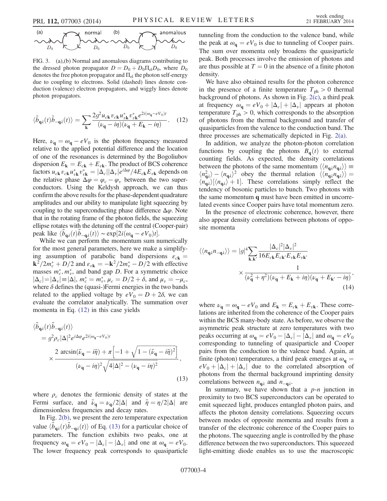<span id="page-4-0"></span>(a) 
$$
\bigwedge_{D_0}
$$
  $\bigwedge_{E_{\text{min}}} E$   $\bigwedge_{D_0} \bigwedge_{D_0} \bigwedge_{D_0} E_{\text{min}}$ 

FIG. 3. (a),(b) Normal and anomalous diagrams contributing to the dressed photon propagator  $D = D_0 + D_0 \Pi_{el} D_0$ , where  $D_0$ denotes the free photon propagator and  $\Pi_{el}$  the photon self-energy due to coupling to electrons. Solid (dashed) lines denote conduction (valence) electron propagators, and wiggly lines denote photon propagators.

$$
\langle \tilde{b}_{\mathbf{q}\lambda}(t)\tilde{b}_{-\mathbf{q}\lambda}(t)\rangle = \sum_{\mathbf{k}} \frac{2g^2 u_{c\mathbf{k}} v_{c\mathbf{k}} u_{v\mathbf{k}}^* v_{v\mathbf{k}}^* e^{2i(\omega_{\mathbf{q}} - eV_0)t}}{(\nu_{\mathbf{q}} - i\eta)(\nu_{\mathbf{q}} + E_{\mathbf{k}} - i\eta)}.
$$
 (12)

Here,  $\nu_{\mathbf{q}} = \omega_{\mathbf{q}} - eV_0$  is the photon frequency measured relative to the applied potential difference and the location of one of the resonances is determined by the Bogoliubov dispersion  $E_k = E_{ck} + E_{vk}$ . The product of BCS coherence factors  $u_{ck}v_{ck}u_{vk}^*v_{vk}^* = |\Delta_c||\Delta_v|e^{i\Delta\varphi}/4E_{ck}E_{vk}$  depends on the relative phase  $\Delta\varphi = \varphi$  between the two superthe relative phase  $\Delta \varphi = \varphi_c - \varphi_v$  between the two superconductors. Using the Keldysh approach, we can thus confirm the above results for the phase-dependent quadrature amplitudes and our ability to manipulate light squeezing by coupling to the superconducting phase difference  $\Delta \varphi$ . Note that in the rotating frame of the photon fields, the squeezing ellipse rotates with the detuning off the central (Cooper-pair) peak like  $\langle \tilde{b}_{\mathbf{q}\lambda}(t)\tilde{b}_{-\mathbf{q}\lambda}(t)\rangle \sim \exp[2i(\omega_{\mathbf{q}} - eV_0)t].$ <br>While we can perform the momentum sum n

While we can perform the momentum sum numerically for the most general parameters, here we make a simplifying assumption of parabolic band dispersions  $\varepsilon_{c\mathbf{k}} =$  $k^2/2m_c^* + D/2$  and  $\varepsilon_{v\mathbf{k}} = -k^2/2m_v^* - D/2$  with effective<br>masses  $m^*$   $m^*$  and band gap D. For a symmetric choice masses  $m_c^*$ ,  $m_v^*$ , and band gap D. For a symmetric choice  $|\Delta_c| = |\Delta_v| = |\Delta|$ ,  $m_c^* = m_v^*, \mu_c = D/2 + \delta$ , and  $\mu_v = -\mu_c$ ,<br>where  $\delta$  defines the (quasi-)Fermi energies in the two bands where  $\delta$  defines the (quasi-)Fermi energies in the two bands related to the applied voltage by  $eV_0 = D + 2\delta$ , we can evaluate the correlator analytically. The summation over momenta in Eq. [\(12\)](#page-3-0) in this case yields

<span id="page-4-1"></span>
$$
\langle \tilde{b}_{\mathbf{q}\lambda}(t)\tilde{b}_{-\mathbf{q}\lambda}(t)\rangle
$$
\n
$$
= g^2 \rho_c |\Delta|^2 e^{i\Delta \varphi} e^{2i(\omega_{\mathbf{q}} - eV_0)t}
$$
\n
$$
\times \frac{2 \arcsin(\tilde{\nu}_{\mathbf{q}} - i\tilde{\eta}) + \pi \left[-1 + \sqrt{1 - (\tilde{\nu}_{\mathbf{q}} - i\tilde{\eta})^2}\right]}{(\nu_{\mathbf{q}} - i\eta)^2 \sqrt{4|\Delta|^2 - (\nu_{\mathbf{q}} - i\eta)^2}},
$$
\n(13)

where  $\rho_c$  denotes the fermionic density of states at the Fermi surface, and  $\tilde{\nu}_{q} = \nu_{q}/2|\Delta|$  and  $\tilde{\eta} = \eta/2|\Delta|$  are dimensionless frequencies and decay rates.

In Fig. [2\(b\),](#page-2-0) we present the zero temperature expectation value  $\langle \tilde{b}_{\mathbf{q}\lambda}(t) \tilde{b}_{-\mathbf{q}\lambda}(t) \rangle$  of Eq. [\(13\)](#page-4-1) for a particular choice of parameters. The function exhibits two peaks one at parameters. The function exhibits two peaks, one at frequency  $\omega_{\mathbf{q}} = eV_0 - |\Delta_c| - |\Delta_v|$  and one at  $\omega_{\mathbf{q}} = eV_0$ . The lower frequency peak corresponds to quasiparticle tunneling from the conduction to the valence band, while the peak at  $\omega_{\mathbf{q}} = eV_0$  is due to tunneling of Cooper pairs. The sum over momenta only broadens the quasiparticle peak. Both processes involve the emission of photons and are thus possible at  $T = 0$  in the absence of a finite photon density.

We have also obtained results for the photon coherence in the presence of a finite temperature  $T_{ph} > 0$  thermal background of photons. As shown in Fig. [2\(c\)](#page-2-0), a third peak at frequency  $\omega_{\mathbf{q}} = eV_0 + |\Delta_c| + |\Delta_v|$  appears at photon temperature  $T_{ph} > 0$ , which corresponds to the absorption of photons from the thermal background and transfer of quasiparticles from the valence to the conduction band. The three processes are schematically depicted in Fig. [2\(a\).](#page-2-0)

In addition, we analyze the photon-photon correlation functions by coupling the photons  $B_{q}(t)$  to external counting fields. As expected, the density correlations between the photons of the same momentum  $\langle\langle n_{q\lambda}n_{q\lambda}\rangle\rangle \equiv$  $\langle n_{\mathbf{q}\lambda}^2 \rangle - \langle n_{\mathbf{q}\lambda} \rangle^2$  obey the thermal relation  $\langle \langle n_{\mathbf{q}\lambda} n_{\mathbf{q}\lambda} \rangle \rangle =$ <br> $\langle n_{\lambda} \rangle [\langle n_{\lambda} \rangle + 1]$  These correlations simply reflect the  $\langle n_{\mathbf{q}\lambda} \rangle$   $|\langle n_{\mathbf{q}\lambda} \rangle + 1|$ . These correlations simply reflect the tendency of bosonic particles to bunch. Two photons with the same momentum q must have been emitted in uncorrelated events since Cooper pairs have total momentum zero.

In the presence of electronic coherence, however, there also appear density correlations between photons of opposite momenta

$$
\langle \langle n_{\mathbf{q}\lambda} n_{-\mathbf{q}\lambda} \rangle \rangle = |g|^4 \sum_{\mathbf{k},\mathbf{k}'} \frac{|\Delta_c|^2 |\Delta_v|^2}{16E_{c\mathbf{k}} E_{c\mathbf{k}'} E_{v\mathbf{k}} E_{v\mathbf{k}'}} \times \frac{1}{(\nu_{\mathbf{q}}^2 + \eta^2)(\nu_{\mathbf{q}} + E_{\mathbf{k}} + i\eta)(\nu_{\mathbf{q}} + E_{\mathbf{k}'} - i\eta)},
$$
\n(14)

where  $\nu_{\mathbf{q}} = \omega_{\mathbf{q}} - eV_0$  and  $E_{\mathbf{k}} = E_{c\mathbf{k}} + E_{v\mathbf{k}}$ . These correlations are inherited from the coherence of the Cooper pairs within the BCS many-body state. As before, we observe the asymmetric peak structure at zero temperatures with two peaks occurring at  $\omega_{\mathbf{q}} = eV_0 - |\Delta_c| - |\Delta_v|$  and  $\omega_{\mathbf{q}} = eV_0$ corresponding to tunneling of quasiparticle and Cooper pairs from the conduction to the valence band. Again, at finite (photon) temperatures, a third peak emerges at  $\omega_{q}$  =  $eV_0 + |\Delta_c| + |\Delta_v|$  due to the correlated absorption of photons from the thermal background imprinting density correlations between  $n_{q\lambda}$  and  $n_{-q\lambda}$ .

In summary, we have shown that a  $p-n$  junction in proximity to two BCS superconductors can be operated to emit squeezed light, produces entangled photon pairs, and affects the photon density correlations. Squeezing occurs between modes of opposite momenta and results from a transfer of the electronic coherence of the Cooper pairs to the photons. The squeezing angle is controlled by the phase difference between the two superconductors. This squeezed light-emitting diode enables us to use the macroscopic